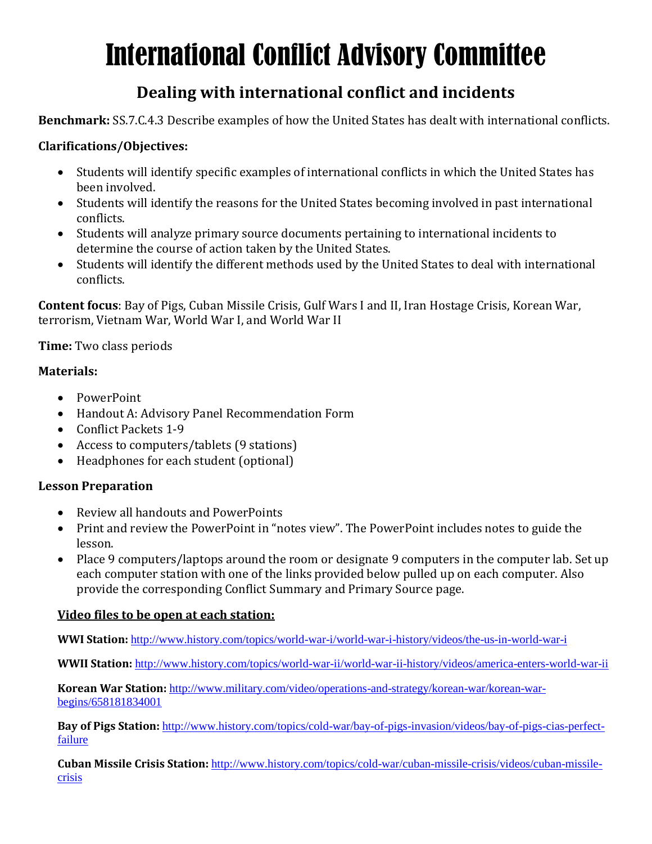# International Conflict Advisory Committee

### **Dealing with international conflict and incidents**

**Benchmark:** SS.7.C.4.3 Describe examples of how the United States has dealt with international conflicts.

### **Clarifications/Objectives:**

- Students will identify specific examples of international conflicts in which the United States has been involved.
- Students will identify the reasons for the United States becoming involved in past international conflicts.
- Students will analyze primary source documents pertaining to international incidents to determine the course of action taken by the United States.
- Students will identify the different methods used by the United States to deal with international conflicts.

**Content focus**: Bay of Pigs, Cuban Missile Crisis, Gulf Wars I and II, Iran Hostage Crisis, Korean War, terrorism, Vietnam War, World War I, and World War II

**Time:** Two class periods

### **Materials:**

- PowerPoint
- Handout A: Advisory Panel Recommendation Form
- Conflict Packets 1-9
- Access to computers/tablets (9 stations)
- Headphones for each student (optional)

### **Lesson Preparation**

- Review all handouts and PowerPoints
- Print and review the PowerPoint in "notes view". The PowerPoint includes notes to guide the lesson.
- Place 9 computers/laptops around the room or designate 9 computers in the computer lab. Set up each computer station with one of the links provided below pulled up on each computer. Also provide the corresponding Conflict Summary and Primary Source page.

### **Video files to be open at each station:**

**WWI Station:** <http://www.history.com/topics/world-war-i/world-war-i-history/videos/the-us-in-world-war-i>

**WWII Station:** <http://www.history.com/topics/world-war-ii/world-war-ii-history/videos/america-enters-world-war-ii>

**Korean War Station:** [http://www.military.com/video/operations-and-strategy/korean-war/korean-war](http://www.military.com/video/operations-and-strategy/korean-war/korean-war-begins/658181834001)[begins/658181834001](http://www.military.com/video/operations-and-strategy/korean-war/korean-war-begins/658181834001)

**Bay of Pigs Station:** [http://www.history.com/topics/cold-war/bay-of-pigs-invasion/videos/bay-of-pigs-cias-perfect](http://www.history.com/topics/cold-war/bay-of-pigs-invasion/videos/bay-of-pigs-cias-perfect-failure)[failure](http://www.history.com/topics/cold-war/bay-of-pigs-invasion/videos/bay-of-pigs-cias-perfect-failure)

**Cuban Missile Crisis Station:** [http://www.history.com/topics/cold-war/cuban-missile-crisis/videos/cuban-missile](http://www.history.com/topics/cold-war/cuban-missile-crisis/videos/cuban-missile-crisis)[crisis](http://www.history.com/topics/cold-war/cuban-missile-crisis/videos/cuban-missile-crisis)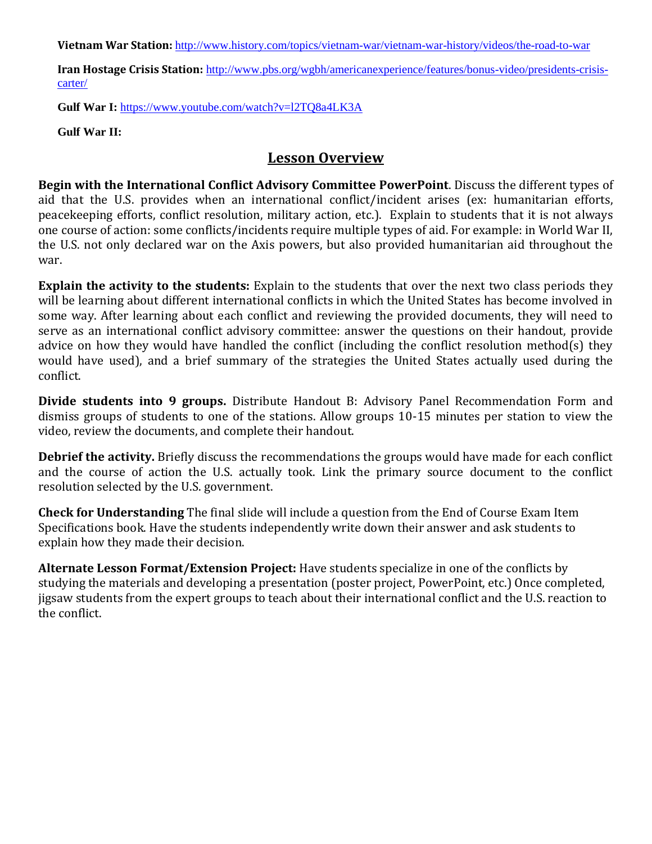**Vietnam War Station:** <http://www.history.com/topics/vietnam-war/vietnam-war-history/videos/the-road-to-war>

**Iran Hostage Crisis Station:** [http://www.pbs.org/wgbh/americanexperience/features/bonus-video/presidents-crisis](http://www.pbs.org/wgbh/americanexperience/features/bonus-video/presidents-crisis-carter/)[carter/](http://www.pbs.org/wgbh/americanexperience/features/bonus-video/presidents-crisis-carter/)

**Gulf War I:** <https://www.youtube.com/watch?v=l2TQ8a4LK3A>

**Gulf War II:** 

### **Lesson Overview**

**Begin with the International Conflict Advisory Committee PowerPoint**. Discuss the different types of aid that the U.S. provides when an international conflict/incident arises (ex: humanitarian efforts, peacekeeping efforts, conflict resolution, military action, etc.). Explain to students that it is not always one course of action: some conflicts/incidents require multiple types of aid. For example: in World War II, the U.S. not only declared war on the Axis powers, but also provided humanitarian aid throughout the war.

**Explain the activity to the students:** Explain to the students that over the next two class periods they will be learning about different international conflicts in which the United States has become involved in some way. After learning about each conflict and reviewing the provided documents, they will need to serve as an international conflict advisory committee: answer the questions on their handout, provide advice on how they would have handled the conflict (including the conflict resolution method(s) they would have used), and a brief summary of the strategies the United States actually used during the conflict.

**Divide students into 9 groups.** Distribute Handout B: Advisory Panel Recommendation Form and dismiss groups of students to one of the stations. Allow groups 10-15 minutes per station to view the video, review the documents, and complete their handout.

**Debrief the activity.** Briefly discuss the recommendations the groups would have made for each conflict and the course of action the U.S. actually took. Link the primary source document to the conflict resolution selected by the U.S. government.

**Check for Understanding** The final slide will include a question from the End of Course Exam Item Specifications book. Have the students independently write down their answer and ask students to explain how they made their decision.

**Alternate Lesson Format/Extension Project:** Have students specialize in one of the conflicts by studying the materials and developing a presentation (poster project, PowerPoint, etc.) Once completed, jigsaw students from the expert groups to teach about their international conflict and the U.S. reaction to the conflict.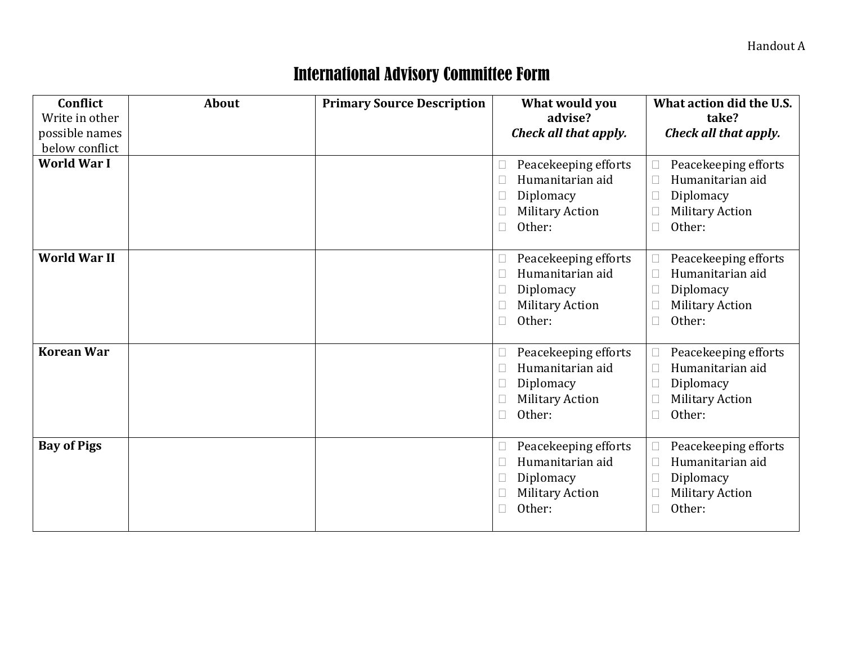### International Advisory Committee Form

| Conflict            | About | <b>Primary Source Description</b> | What would you              | What action did the U.S.         |
|---------------------|-------|-----------------------------------|-----------------------------|----------------------------------|
| Write in other      |       |                                   | advise?                     | take?                            |
| possible names      |       |                                   | Check all that apply.       | Check all that apply.            |
| below conflict      |       |                                   |                             |                                  |
| <b>World War I</b>  |       |                                   | Peacekeeping efforts<br>L   | Peacekeeping efforts             |
|                     |       |                                   | Humanitarian aid            | Humanitarian aid<br>$\Box$       |
|                     |       |                                   | Diplomacy<br>L              | Diplomacy<br>$\Box$              |
|                     |       |                                   | <b>Military Action</b>      | <b>Military Action</b>           |
|                     |       |                                   | Other:<br>□                 | Other:                           |
| <b>World War II</b> |       |                                   | Peacekeeping efforts<br>L   | Peacekeeping efforts             |
|                     |       |                                   | Humanitarian aid<br>L       | Humanitarian aid<br>$\Box$       |
|                     |       |                                   | Diplomacy<br>L              | Diplomacy<br>$\Box$              |
|                     |       |                                   | <b>Military Action</b>      | <b>Military Action</b>           |
|                     |       |                                   | Other:                      | Other:                           |
|                     |       |                                   | $\Box$                      | П                                |
| <b>Korean War</b>   |       |                                   | Peacekeeping efforts        | Peacekeeping efforts<br>□        |
|                     |       |                                   | Humanitarian aid<br>L       | Humanitarian aid<br>$\Box$       |
|                     |       |                                   | Diplomacy<br>$\Box$         | Diplomacy<br>$\Box$              |
|                     |       |                                   | <b>Military Action</b><br>L | <b>Military Action</b>           |
|                     |       |                                   | Other:<br>□                 | Other:<br>u                      |
| <b>Bay of Pigs</b>  |       |                                   |                             |                                  |
|                     |       |                                   | Peacekeeping efforts        | Peacekeeping efforts<br>П        |
|                     |       |                                   | Humanitarian aid<br>L       | Humanitarian aid<br>П            |
|                     |       |                                   | Diplomacy<br>L              | Diplomacy<br>□                   |
|                     |       |                                   | <b>Military Action</b><br>L | <b>Military Action</b><br>$\Box$ |
|                     |       |                                   | Other:<br>□                 | Other:                           |
|                     |       |                                   |                             |                                  |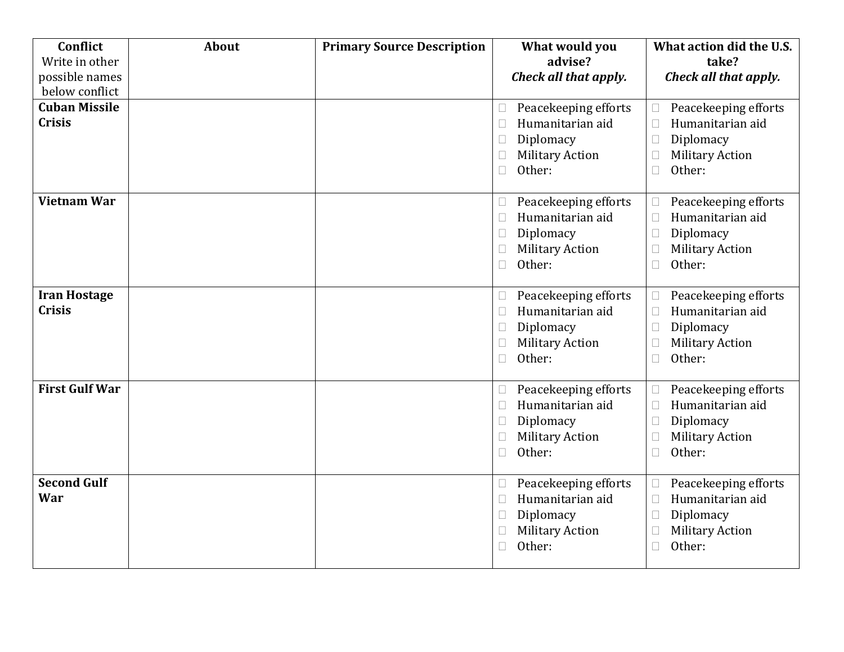| Conflict<br>Write in other<br>possible names<br>below conflict | About | <b>Primary Source Description</b> | What would you<br>advise?<br>Check all that apply.                                                                                     | What action did the U.S.<br>take?<br>Check all that apply.                                                                        |
|----------------------------------------------------------------|-------|-----------------------------------|----------------------------------------------------------------------------------------------------------------------------------------|-----------------------------------------------------------------------------------------------------------------------------------|
| <b>Cuban Missile</b><br><b>Crisis</b>                          |       |                                   | Peacekeeping efforts<br>L<br>Humanitarian aid<br>$\Box$<br>Diplomacy<br>E<br><b>Military Action</b><br>$\Box$<br>Other:<br>$\Box$      | Peacekeeping efforts<br>$\Box$<br>Humanitarian aid<br>$\Box$<br>Diplomacy<br>□<br><b>Military Action</b><br>□<br>Other:<br>$\Box$ |
| <b>Vietnam War</b>                                             |       |                                   | Peacekeeping efforts<br>$\Box$<br>Humanitarian aid<br>Г<br>Diplomacy<br>$\Box$<br><b>Military Action</b><br>$\Box$<br>Other:<br>$\Box$ | Peacekeeping efforts<br>$\Box$<br>Humanitarian aid<br>П<br>Diplomacy<br>$\Box$<br><b>Military Action</b><br>C<br>Other:<br>П      |
| <b>Iran Hostage</b><br><b>Crisis</b>                           |       |                                   | Peacekeeping efforts<br>$\Box$<br>Humanitarian aid<br>$\Box$<br>Diplomacy<br>$\Box$<br><b>Military Action</b><br>E<br>Other:<br>$\Box$ | Peacekeeping efforts<br>$\Box$<br>Humanitarian aid<br>$\Box$<br>Diplomacy<br>□<br><b>Military Action</b><br>C<br>Other:<br>$\Box$ |
| <b>First Gulf War</b>                                          |       |                                   | Peacekeeping efforts<br>$\Box$<br>Humanitarian aid<br>$\Box$<br>Diplomacy<br>$\Box$<br><b>Military Action</b><br>L<br>Other:<br>$\Box$ | Peacekeeping efforts<br>$\Box$<br>Humanitarian aid<br>$\Box$<br>Diplomacy<br>E<br><b>Military Action</b><br>E<br>Other:<br>П      |
| <b>Second Gulf</b><br>War                                      |       |                                   | Peacekeeping efforts<br>$\Box$<br>Humanitarian aid<br>$\Box$<br>Diplomacy<br><b>Military Action</b><br>Other:<br>$\Box$                | Peacekeeping efforts<br>Ц<br>Humanitarian aid<br>$\Box$<br>Diplomacy<br>C<br><b>Military Action</b><br>$\Box$<br>Other:<br>$\Box$ |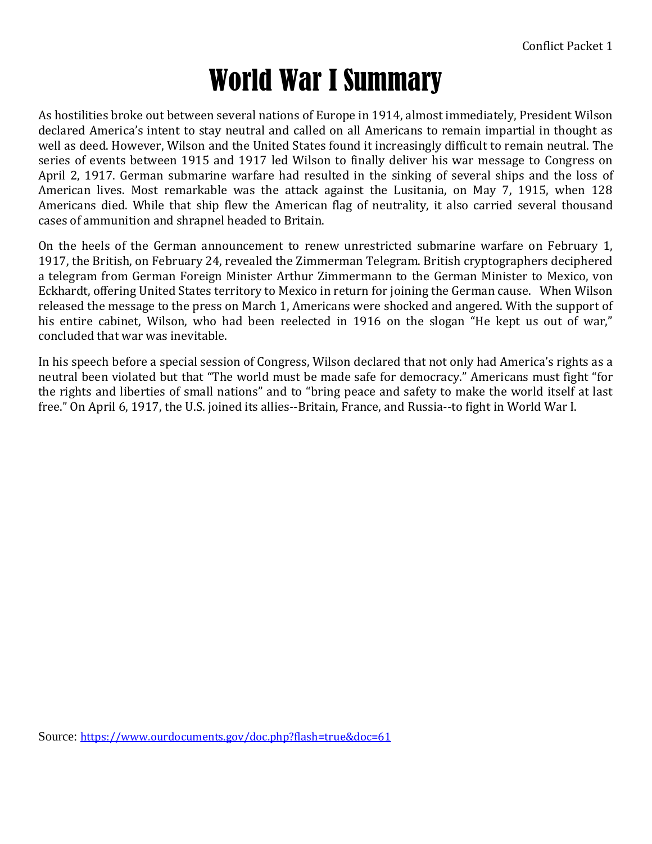# World War I Summary

As hostilities broke out between several nations of Europe in 1914, almost immediately, President Wilson declared America's intent to stay neutral and called on all Americans to remain impartial in thought as well as deed. However, Wilson and the United States found it increasingly difficult to remain neutral. The series of events between 1915 and 1917 led Wilson to finally deliver his war message to Congress on April 2, 1917. German submarine warfare had resulted in the sinking of several ships and the loss of American lives. Most remarkable was the attack against the Lusitania, on May 7, 1915, when 128 Americans died. While that ship flew the American flag of neutrality, it also carried several thousand cases of ammunition and shrapnel headed to Britain.

On the heels of the German announcement to renew unrestricted submarine warfare on February 1, 1917, the British, on February 24, revealed the Zimmerman Telegram. British cryptographers deciphered a telegram from German Foreign Minister Arthur Zimmermann to the German Minister to Mexico, von Eckhardt, offering United States territory to Mexico in return for joining the German cause. When Wilson released the message to the press on March 1, Americans were shocked and angered. With the support of his entire cabinet, Wilson, who had been reelected in 1916 on the slogan "He kept us out of war," concluded that war was inevitable.

In his speech before a special session of Congress, Wilson declared that not only had America's rights as a neutral been violated but that "The world must be made safe for democracy." Americans must fight "for the rights and liberties of small nations" and to "bring peace and safety to make the world itself at last free." On April 6, 1917, the U.S. joined its allies--Britain, France, and Russia--to fight in World War I.

Source: <https://www.ourdocuments.gov/doc.php?flash=true&doc=61>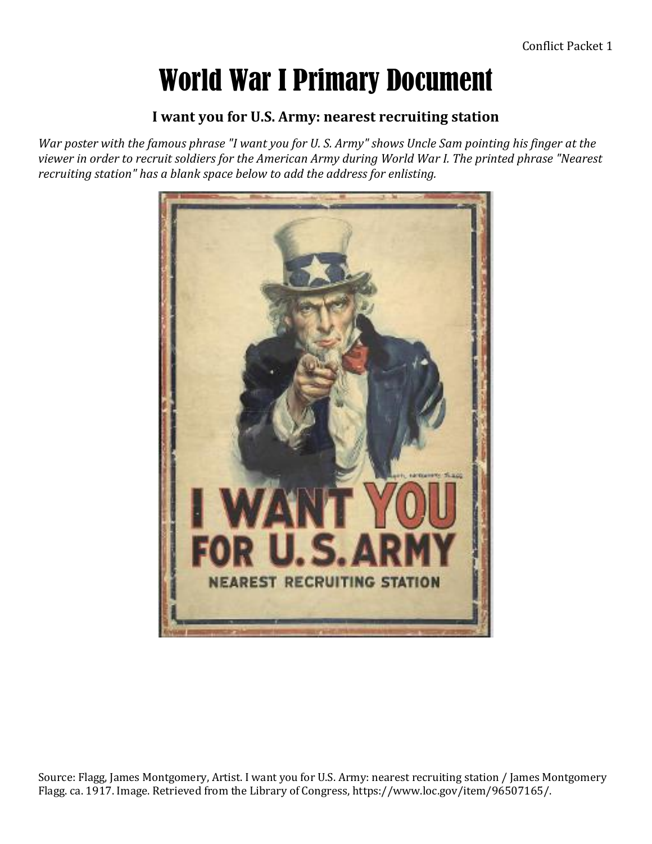## World War I Primary Document

### **I want you for U.S. Army: nearest recruiting station**

*War poster with the famous phrase "I want you for U. S. Army" shows Uncle Sam pointing his finger at the viewer in order to recruit soldiers for the American Army during World War I. The printed phrase "Nearest recruiting station" has a blank space below to add the address for enlisting.*



Source: Flagg, James Montgomery, Artist. I want you for U.S. Army: nearest recruiting station / James Montgomery Flagg. ca. 1917. Image. Retrieved from the Library of Congress, https://www.loc.gov/item/96507165/.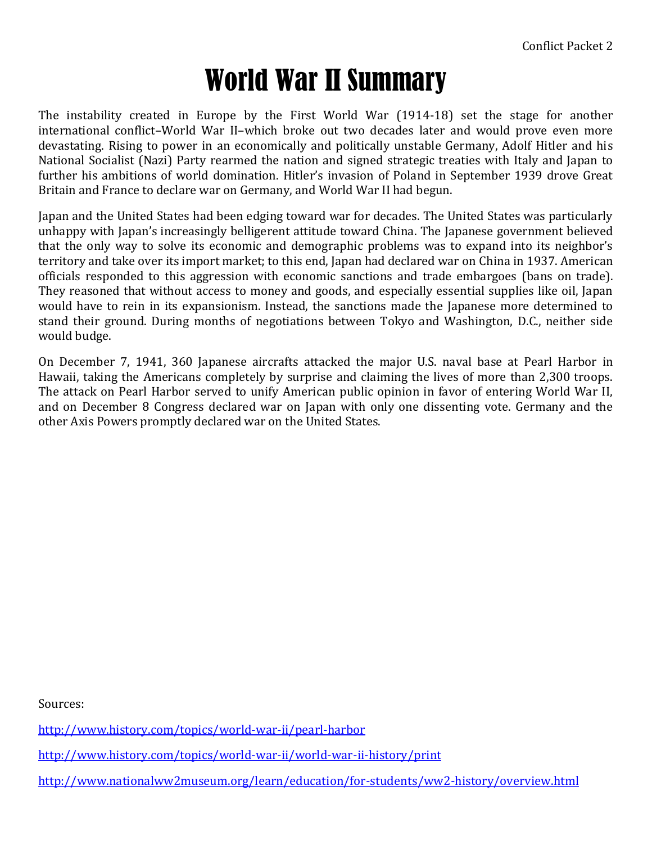## World War II Summary

The instability created in Europe by the First World War (1914-18) set the stage for another international conflict–World War II–which broke out two decades later and would prove even more devastating. Rising to power in an economically and politically unstable Germany, Adolf Hitler and his National Socialist (Nazi) Party rearmed the nation and signed strategic treaties with Italy and Japan to further his ambitions of world domination. Hitler's invasion of Poland in September 1939 drove Great Britain and France to declare war on Germany, and World War II had begun.

Japan and the United States had been edging toward war for decades. The United States was particularly unhappy with Japan's increasingly belligerent attitude toward China. The Japanese government believed that the only way to solve its economic and demographic problems was to expand into its neighbor's territory and take over its import market; to this end, Japan had declared war on China in 1937. American officials responded to this aggression with economic sanctions and trade embargoes (bans on trade). They reasoned that without access to money and goods, and especially essential supplies like oil, Japan would have to rein in its expansionism. Instead, the sanctions made the Japanese more determined to stand their ground. During months of negotiations between Tokyo and Washington, D.C., neither side would budge.

On December 7, 1941, 360 Japanese aircrafts attacked the major U.S. naval base at Pearl Harbor in Hawaii, taking the Americans completely by surprise and claiming the lives of more than 2,300 troops. The attack on Pearl Harbor served to unify American public opinion in favor of entering World War II, and on December 8 Congress declared war on Japan with only one dissenting vote. Germany and the other Axis Powers promptly declared war on the United States.

Sources:

<http://www.history.com/topics/world-war-ii/pearl-harbor>

<http://www.history.com/topics/world-war-ii/world-war-ii-history/print>

<http://www.nationalww2museum.org/learn/education/for-students/ww2-history/overview.html>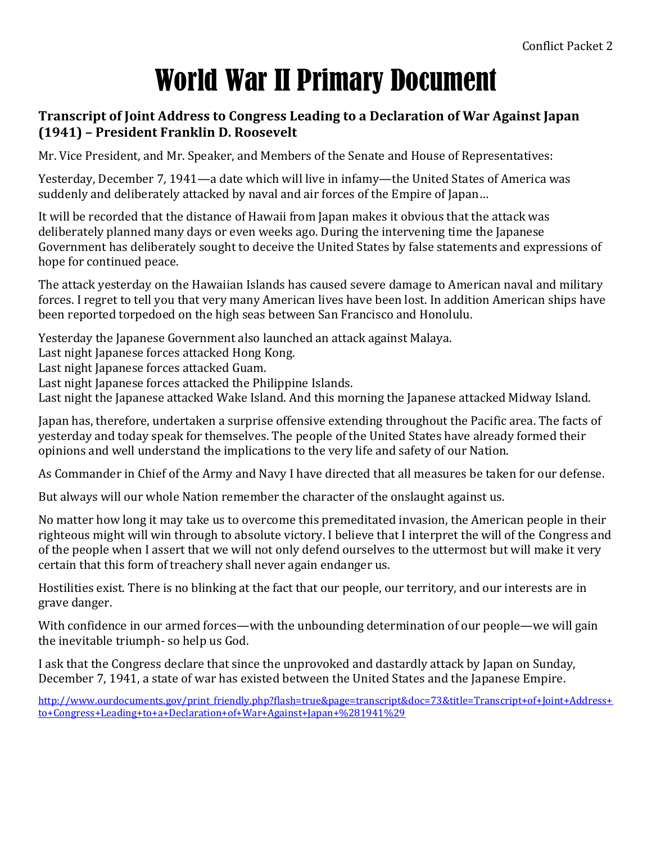# World War II Primary Document

### **Transcript of Joint Address to Congress Leading to a Declaration of War Against Japan (1941) – President Franklin D. Roosevelt**

Mr. Vice President, and Mr. Speaker, and Members of the Senate and House of Representatives:

Yesterday, December 7, 1941—a date which will live in infamy—the United States of America was suddenly and deliberately attacked by naval and air forces of the Empire of Japan…

It will be recorded that the distance of Hawaii from Japan makes it obvious that the attack was deliberately planned many days or even weeks ago. During the intervening time the Japanese Government has deliberately sought to deceive the United States by false statements and expressions of hope for continued peace.

The attack yesterday on the Hawaiian Islands has caused severe damage to American naval and military forces. I regret to tell you that very many American lives have been lost. In addition American ships have been reported torpedoed on the high seas between San Francisco and Honolulu.

Yesterday the Japanese Government also launched an attack against Malaya.

Last night Japanese forces attacked Hong Kong.

Last night Japanese forces attacked Guam.

Last night Japanese forces attacked the Philippine Islands.

Last night the Japanese attacked Wake Island. And this morning the Japanese attacked Midway Island.

Japan has, therefore, undertaken a surprise offensive extending throughout the Pacific area. The facts of yesterday and today speak for themselves. The people of the United States have already formed their opinions and well understand the implications to the very life and safety of our Nation.

As Commander in Chief of the Army and Navy I have directed that all measures be taken for our defense.

But always will our whole Nation remember the character of the onslaught against us.

No matter how long it may take us to overcome this premeditated invasion, the American people in their righteous might will win through to absolute victory. I believe that I interpret the will of the Congress and of the people when I assert that we will not only defend ourselves to the uttermost but will make it very certain that this form of treachery shall never again endanger us.

Hostilities exist. There is no blinking at the fact that our people, our territory, and our interests are in grave danger.

With confidence in our armed forces—with the unbounding determination of our people—we will gain the inevitable triumph- so help us God.

I ask that the Congress declare that since the unprovoked and dastardly attack by Japan on Sunday, December 7, 1941, a state of war has existed between the United States and the Japanese Empire.

[http://www.ourdocuments.gov/print\\_friendly.php?flash=true&page=transcript&doc=73&title=Transcript+of+Joint+Address+](http://www.ourdocuments.gov/print_friendly.php?flash=true&page=transcript&doc=73&title=Transcript+of+Joint+Address+to+Congress+Leading+to+a+Declaration+of+War+Against+Japan+%281941%29) [to+Congress+Leading+to+a+Declaration+of+War+Against+Japan+%281941%29](http://www.ourdocuments.gov/print_friendly.php?flash=true&page=transcript&doc=73&title=Transcript+of+Joint+Address+to+Congress+Leading+to+a+Declaration+of+War+Against+Japan+%281941%29)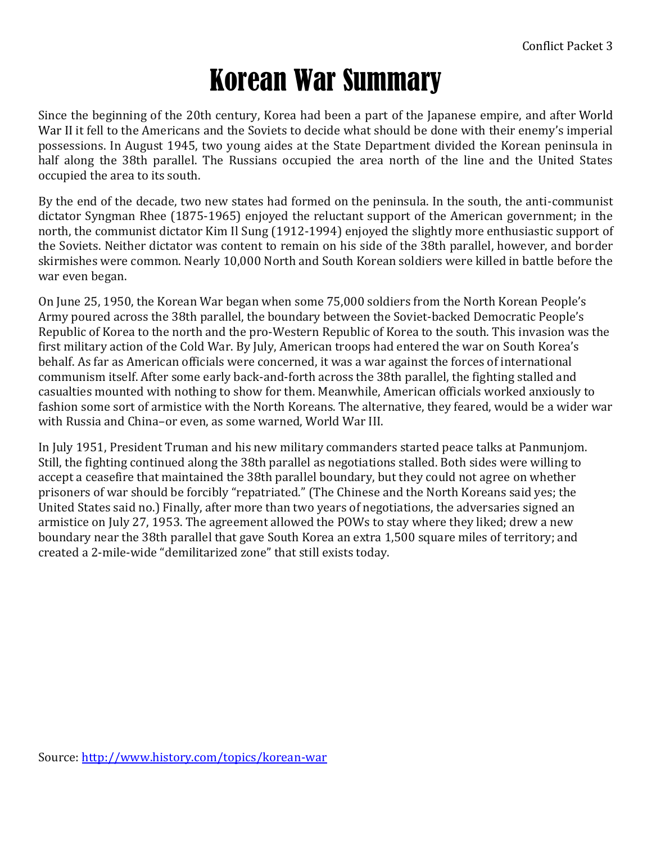# Korean War Summary

Since the beginning of the 20th century, Korea had been a part of the Japanese empire, and after World War II it fell to the Americans and the Soviets to decide what should be done with their enemy's imperial possessions. In August 1945, two young aides at the State Department divided the Korean peninsula in half along the 38th parallel. The Russians occupied the area north of the line and the United States occupied the area to its south.

By the end of the decade, two new states had formed on the peninsula. In the south, the anti-communist dictator Syngman Rhee (1875-1965) enjoyed the reluctant support of the American government; in the north, the communist dictator Kim Il Sung (1912-1994) enjoyed the slightly more enthusiastic support of the Soviets. Neither dictator was content to remain on his side of the 38th parallel, however, and border skirmishes were common. Nearly 10,000 North and South Korean soldiers were killed in battle before the war even began.

On June 25, 1950, the Korean War began when some 75,000 soldiers from the North Korean People's Army poured across the 38th parallel, the boundary between the Soviet-backed Democratic People's Republic of Korea to the north and the pro-Western Republic of Korea to the south. This invasion was the first military action of the Cold War. By July, American troops had entered the war on South Korea's behalf. As far as American officials were concerned, it was a war against the forces of international communism itself. After some early back-and-forth across the 38th parallel, the fighting stalled and casualties mounted with nothing to show for them. Meanwhile, American officials worked anxiously to fashion some sort of armistice with the North Koreans. The alternative, they feared, would be a wider war with Russia and China–or even, as some warned, World War III.

In July 1951, President Truman and his new military commanders started peace talks at Panmunjom. Still, the fighting continued along the 38th parallel as negotiations stalled. Both sides were willing to accept a ceasefire that maintained the 38th parallel boundary, but they could not agree on whether prisoners of war should be forcibly "repatriated." (The Chinese and the North Koreans said yes; the United States said no.) Finally, after more than two years of negotiations, the adversaries signed an armistice on July 27, 1953. The agreement allowed the POWs to stay where they liked; drew a new boundary near the 38th parallel that gave South Korea an extra 1,500 square miles of territory; and created a 2-mile-wide "demilitarized zone" that still exists today.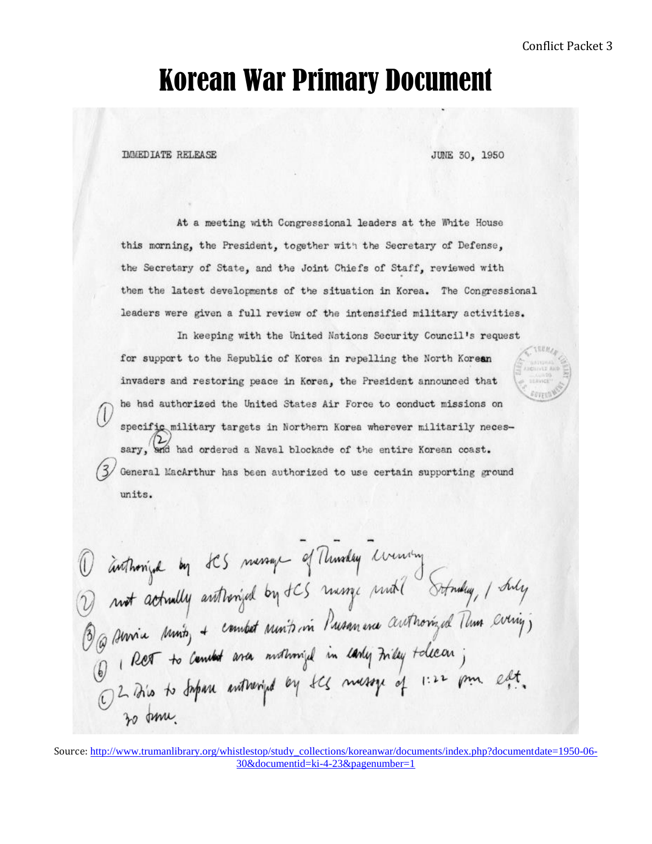### Korean War Primary Document

**IMMEDIATE RELEASE** 

JUNE 30, 1950

At a meeting with Congressional leaders at the White House this morning, the President, together with the Secretary of Defense, the Secretary of State, and the Joint Chiefs of Staff, reviewed with them the latest developments of the situation in Korea. The Congressional leaders were given a full review of the intensified military activities.

In keeping with the United Nations Security Council's request for support to the Republic of Korea in repelling the North Korean invaders and restoring peace in Korea, the President announced that he had authorized the United States Air Force to conduct missions on specific military targets in Northern Korea wherever militarily necessary, and had ordered a Naval blockade of the entire Korean coast. General MacArthur has been authorized to use certain supporting ground units.

1 instrumjed by ICS message of Thursday wenning<br>1 mot actually anthonyed by ICS massage motil Struding, I stuly 3 suria muito, + combat nunts in Presan era autrorizad Thur avening, @ survive hunts, + comment mentions in cardy Friday tolecan;<br>(6) RENT to consider area mothinged in cardy Friday tolecan;<br>(6) 2 dries to Supare anthoniped by SCS mussage of 1:22 pm est. 30 pme.

Source: [http://www.trumanlibrary.org/whistlestop/study\\_collections/koreanwar/documents/index.php?documentdate=1950-06-](http://www.trumanlibrary.org/whistlestop/study_collections/koreanwar/documents/index.php?documentdate=1950-06-30&documentid=ki-4-23&pagenumber=1) [30&documentid=ki-4-23&pagenumber=1](http://www.trumanlibrary.org/whistlestop/study_collections/koreanwar/documents/index.php?documentdate=1950-06-30&documentid=ki-4-23&pagenumber=1)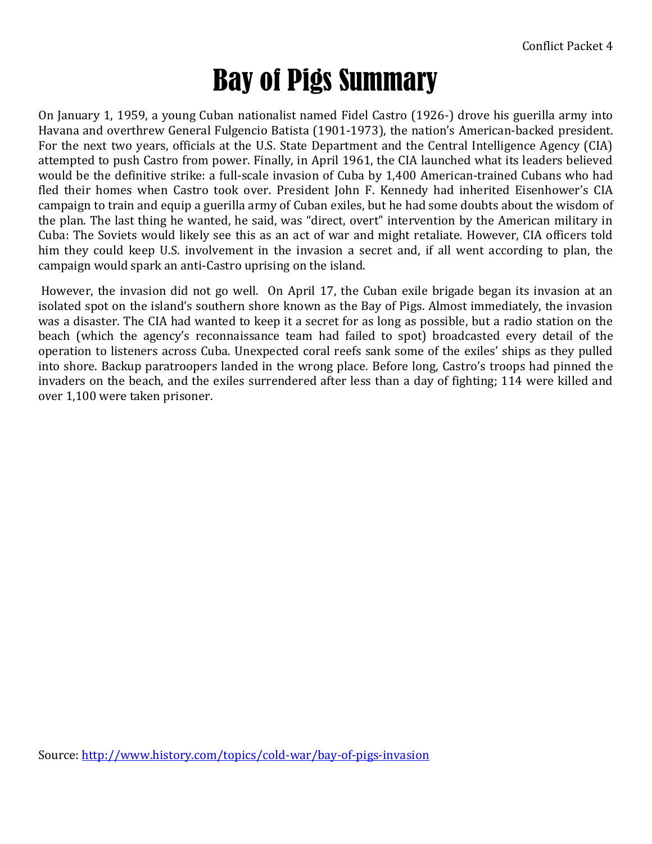## Bay of Pigs Summary

On January 1, 1959, a young Cuban nationalist named Fidel Castro (1926-) drove his guerilla army into Havana and overthrew General Fulgencio Batista (1901-1973), the nation's American-backed president. For the next two years, officials at the U.S. State Department and the Central Intelligence Agency (CIA) attempted to push Castro from power. Finally, in April 1961, the CIA launched what its leaders believed would be the definitive strike: a full-scale invasion of Cuba by 1,400 American-trained Cubans who had fled their homes when Castro took over. President John F. Kennedy had inherited Eisenhower's CIA campaign to train and equip a guerilla army of Cuban exiles, but he had some doubts about the wisdom of the plan. The last thing he wanted, he said, was "direct, overt" intervention by the American military in Cuba: The Soviets would likely see this as an act of war and might retaliate. However, CIA officers told him they could keep U.S. involvement in the invasion a secret and, if all went according to plan, the campaign would spark an anti-Castro uprising on the island.

However, the invasion did not go well. On April 17, the Cuban exile brigade began its invasion at an isolated spot on the island's southern shore known as the Bay of Pigs. Almost immediately, the invasion was a disaster. The CIA had wanted to keep it a secret for as long as possible, but a radio station on the beach (which the agency's reconnaissance team had failed to spot) broadcasted every detail of the operation to listeners across Cuba. Unexpected coral reefs sank some of the exiles' ships as they pulled into shore. Backup paratroopers landed in the wrong place. Before long, Castro's troops had pinned the invaders on the beach, and the exiles surrendered after less than a day of fighting; 114 were killed and over 1,100 were taken prisoner.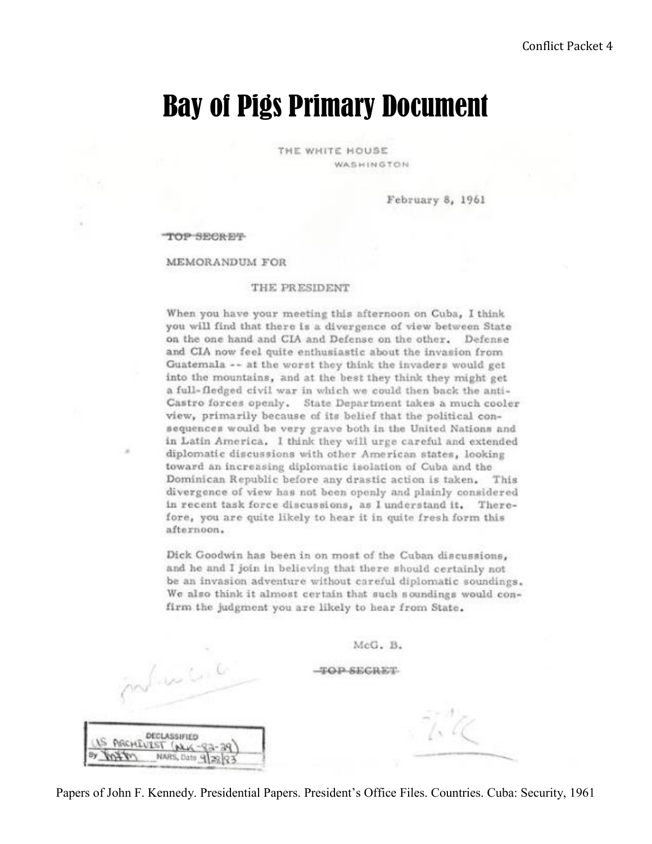### Bay of Pigs Primary Document

THE WHITE HOUSE WASHINGTON

February 8, 1961

TOP SECRET

#### MEMORANDUM FOR

#### THE PRESIDENT

When you have your meeting this afternoon on Cuba, I think you will find that there is a divergence of view between State on the one hand and CIA and Defense on the other. Defense and CIA now feel quite enthusiastic about the invasion from Guatemala -- at the worst they think the invaders would get into the mountains, and at the best they think they might get a full-fledged civil war in which we could then back the anti-Castro forces openly. State Department takes a much cooler view, primarily because of its belief that the political consequences would be very grave both in the United Nations and in Latin America. I think they will urge careful and extended diplomatic discussions with other American states, looking toward an increasing diplomatic isolation of Cuba and the Dominican Republic before any drastic action is taken. This divergence of view has not been openly and plainly considered in recent task force discussions, as I understand it. Therefore, you are quite likely to hear it in quite fresh form this afternoon.

Dick Goodwin has been in on most of the Cuban discussions, and he and I join in believing that there should certainly not be an invasion adventure without careful diplomatic soundings. We also think it almost certain that such soundings would confirm the judgment you are likely to hear from State.

McG. B. Wwwe TOP-SECRET DECLASSIFIED (Ner-NARS, Date 9 28 93

Papers of John F. Kennedy. Presidential Papers. President's Office Files. Countries. Cuba: Security, 1961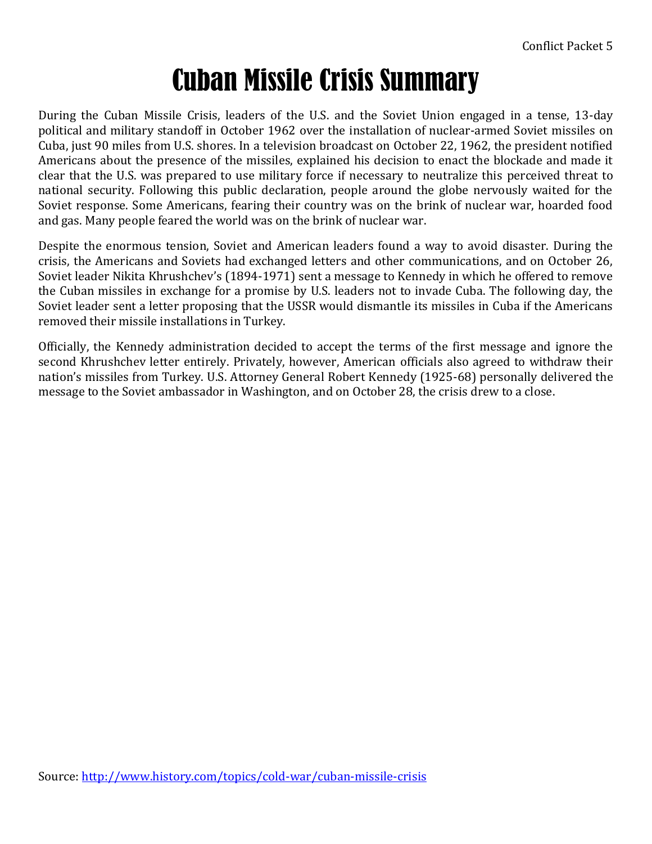# Cuban Missile Crisis Summary

During the Cuban Missile Crisis, leaders of the U.S. and the Soviet Union engaged in a tense, 13-day political and military standoff in October 1962 over the installation of nuclear-armed Soviet missiles on Cuba, just 90 miles from U.S. shores. In a television broadcast on October 22, 1962, the president notified Americans about the presence of the missiles, explained his decision to enact the blockade and made it clear that the U.S. was prepared to use military force if necessary to neutralize this perceived threat to national security. Following this public declaration, people around the globe nervously waited for the Soviet response. Some Americans, fearing their country was on the brink of nuclear war, hoarded food and gas. Many people feared the world was on the brink of nuclear war.

Despite the enormous tension, Soviet and American leaders found a way to avoid disaster. During the crisis, the Americans and Soviets had exchanged letters and other communications, and on October 26, Soviet leader Nikita Khrushchev's (1894-1971) sent a message to Kennedy in which he offered to remove the Cuban missiles in exchange for a promise by U.S. leaders not to invade Cuba. The following day, the Soviet leader sent a letter proposing that the USSR would dismantle its missiles in Cuba if the Americans removed their missile installations in Turkey.

Officially, the Kennedy administration decided to accept the terms of the first message and ignore the second Khrushchev letter entirely. Privately, however, American officials also agreed to withdraw their nation's missiles from Turkey. U.S. Attorney General Robert Kennedy (1925-68) personally delivered the message to the Soviet ambassador in Washington, and on October 28, the crisis drew to a close.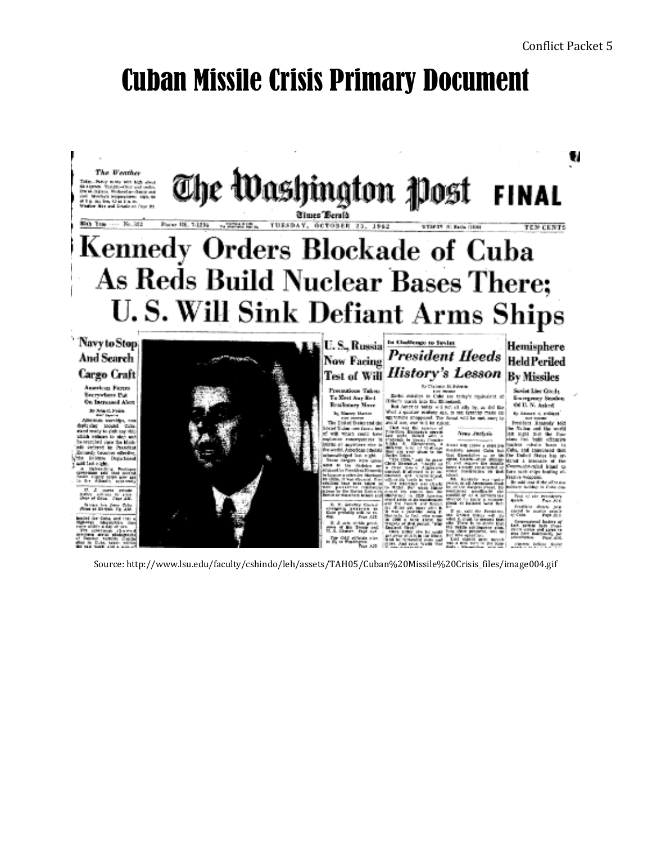### Cuban Missile Crisis Primary Document



Source: http://www.lsu.edu/faculty/cshindo/leh/assets/TAH05/Cuban%20Missile%20Crisis\_files/image004.gif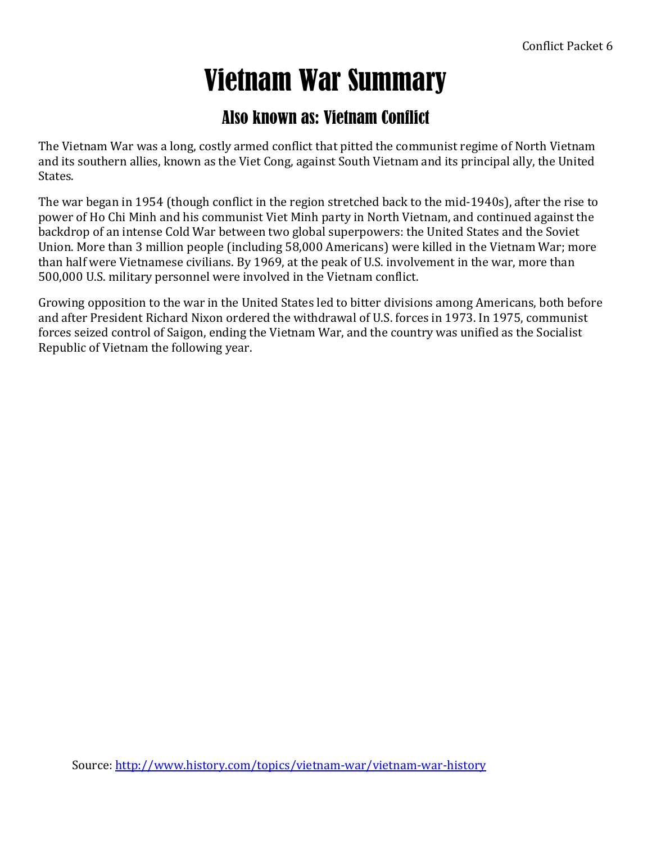## Vietnam War Summary

### Also known as: Vietnam Conflict

The Vietnam War was a long, costly armed conflict that pitted the communist regime of North Vietnam and its southern allies, known as the Viet Cong, against South Vietnam and its principal ally, the United States.

The war began in 1954 (though conflict in the region stretched back to the mid-1940s), after the rise to power of Ho Chi Minh and his communist Viet Minh party in North Vietnam, and continued against the backdrop of an intense Cold War between two global superpowers: the United States and the Soviet Union. More than 3 million people (including 58,000 Americans) were killed in the Vietnam War; more than half were Vietnamese civilians. By 1969, at the peak of U.S. involvement in the war, more than 500,000 U.S. military personnel were involved in the Vietnam conflict.

Growing opposition to the war in the United States led to bitter divisions among Americans, both before and after President Richard Nixon ordered the withdrawal of U.S. forces in 1973. In 1975, communist forces seized control of Saigon, ending the Vietnam War, and the country was unified as the Socialist Republic of Vietnam the following year.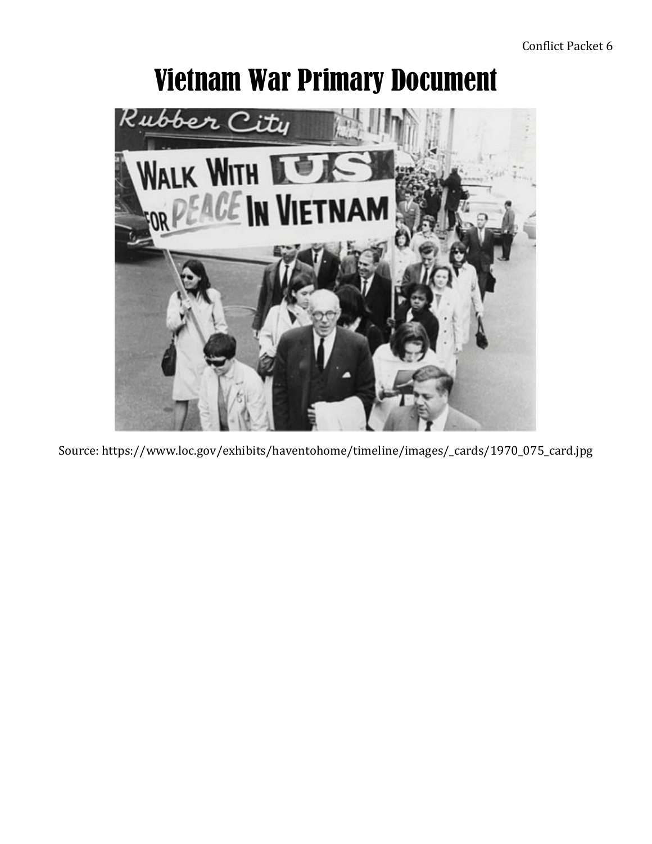### Vietnam War Primary Document



Source: https://www.loc.gov/exhibits/haventohome/timeline/images/\_cards/1970\_075\_card.jpg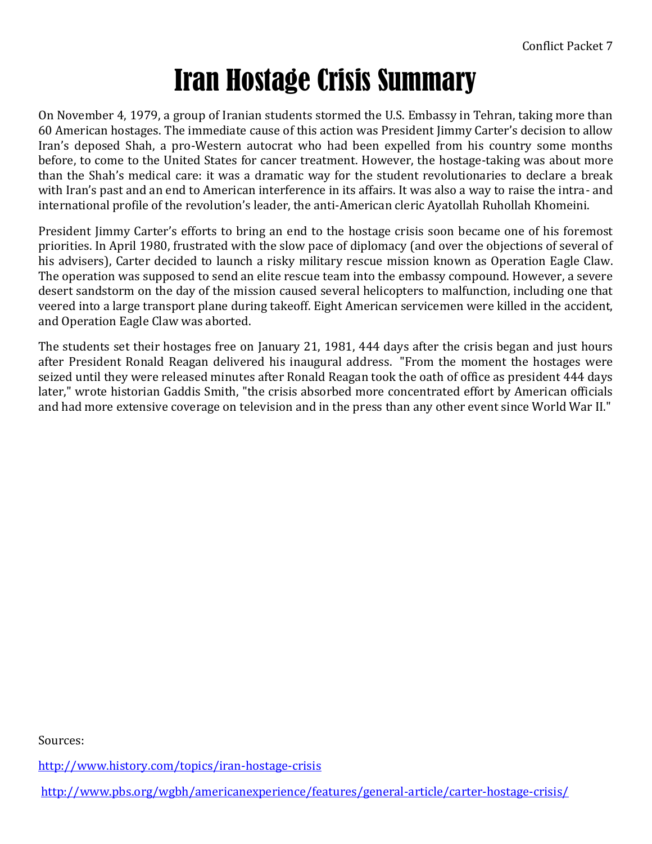# Iran Hostage Crisis Summary

On November 4, 1979, a group of Iranian students stormed the U.S. Embassy in Tehran, taking more than 60 American hostages. The immediate cause of this action was President Jimmy Carter's decision to allow Iran's deposed Shah, a pro-Western autocrat who had been expelled from his country some months before, to come to the United States for cancer treatment. However, the hostage-taking was about more than the Shah's medical care: it was a dramatic way for the student revolutionaries to declare a break with Iran's past and an end to American interference in its affairs. It was also a way to raise the intra- and international profile of the revolution's leader, the anti-American cleric Ayatollah Ruhollah Khomeini.

President Jimmy Carter's efforts to bring an end to the hostage crisis soon became one of his foremost priorities. In April 1980, frustrated with the slow pace of diplomacy (and over the objections of several of his advisers), Carter decided to launch a risky military rescue mission known as Operation Eagle Claw. The operation was supposed to send an elite rescue team into the embassy compound. However, a severe desert sandstorm on the day of the mission caused several helicopters to malfunction, including one that veered into a large transport plane during takeoff. Eight American servicemen were killed in the accident, and Operation Eagle Claw was aborted.

The students set their hostages free on January 21, 1981, 444 days after the crisis began and just hours after President Ronald Reagan delivered his inaugural address. "From the moment the hostages were seized until they were released minutes after Ronald Reagan took the oath of office as president 444 days later," wrote historian Gaddis Smith, "the crisis absorbed more concentrated effort by American officials and had more extensive coverage on television and in the press than any other event since World War II."

Sources:

<http://www.history.com/topics/iran-hostage-crisis>

<http://www.pbs.org/wgbh/americanexperience/features/general-article/carter-hostage-crisis/>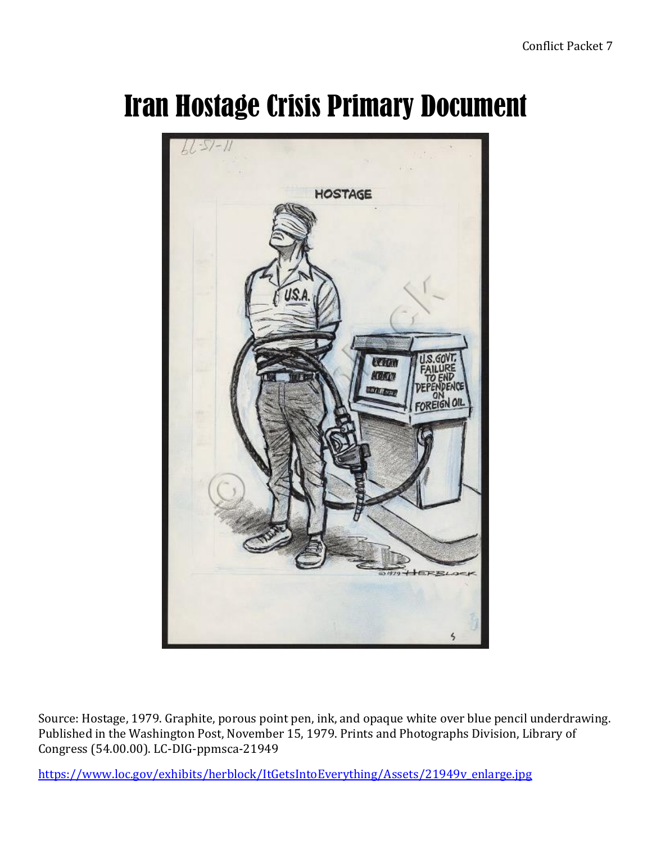## Iran Hostage Crisis Primary Document



Source: Hostage, 1979. Graphite, porous point pen, ink, and opaque white over blue pencil underdrawing. Published in the Washington Post, November 15, 1979. Prints and Photographs Division, Library of Congress (54.00.00). LC-DIG-ppmsca-21949

[https://www.loc.gov/exhibits/herblock/ItGetsIntoEverything/Assets/21949v\\_enlarge.jpg](https://www.loc.gov/exhibits/herblock/ItGetsIntoEverything/Assets/21949v_enlarge.jpg)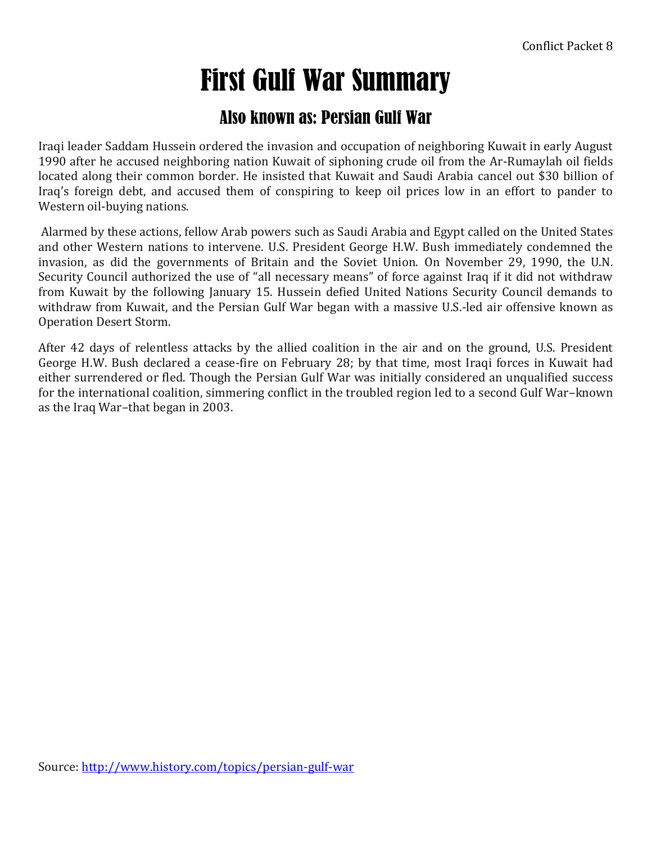# First Gulf War Summary

### Also known as: Persian Gulf War

Iraqi leader Saddam Hussein ordered the invasion and occupation of neighboring Kuwait in early August 1990 after he accused neighboring nation Kuwait of siphoning crude oil from the Ar-Rumaylah oil fields located along their common border. He insisted that Kuwait and Saudi Arabia cancel out \$30 billion of Iraq's foreign debt, and accused them of conspiring to keep oil prices low in an effort to pander to Western oil-buying nations.

Alarmed by these actions, fellow Arab powers such as Saudi Arabia and Egypt called on the United States and other Western nations to intervene. U.S. President George H.W. Bush immediately condemned the invasion, as did the governments of Britain and the Soviet Union. On November 29, 1990, the U.N. Security Council authorized the use of "all necessary means" of force against Iraq if it did not withdraw from Kuwait by the following January 15. Hussein defied United Nations Security Council demands to withdraw from Kuwait, and the Persian Gulf War began with a massive U.S.-led air offensive known as Operation Desert Storm.

After 42 days of relentless attacks by the allied coalition in the air and on the ground, U.S. President George H.W. Bush declared a cease-fire on February 28; by that time, most Iraqi forces in Kuwait had either surrendered or fled. Though the Persian Gulf War was initially considered an unqualified success for the international coalition, simmering conflict in the troubled region led to a second Gulf War–known as the Iraq War–that began in 2003.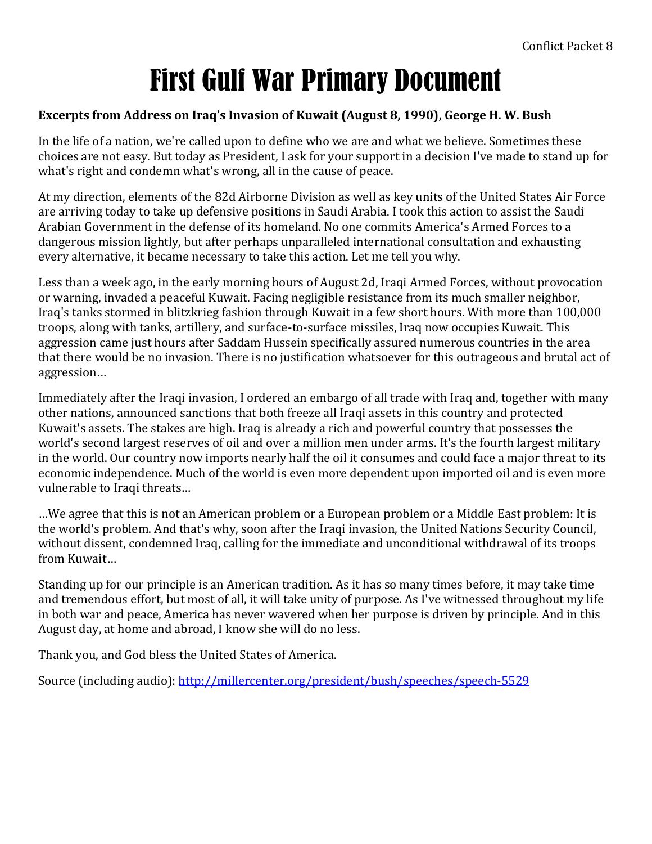# First Gulf War Primary Document

### **Excerpts from Address on Iraq's Invasion of Kuwait (August 8, 1990), George H. W. Bush**

In the life of a nation, we're called upon to define who we are and what we believe. Sometimes these choices are not easy. But today as President, I ask for your support in a decision I've made to stand up for what's right and condemn what's wrong, all in the cause of peace.

At my direction, elements of the 82d Airborne Division as well as key units of the United States Air Force are arriving today to take up defensive positions in Saudi Arabia. I took this action to assist the Saudi Arabian Government in the defense of its homeland. No one commits America's Armed Forces to a dangerous mission lightly, but after perhaps unparalleled international consultation and exhausting every alternative, it became necessary to take this action. Let me tell you why.

Less than a week ago, in the early morning hours of August 2d, Iraqi Armed Forces, without provocation or warning, invaded a peaceful Kuwait. Facing negligible resistance from its much smaller neighbor, Iraq's tanks stormed in blitzkrieg fashion through Kuwait in a few short hours. With more than 100,000 troops, along with tanks, artillery, and surface-to-surface missiles, Iraq now occupies Kuwait. This aggression came just hours after Saddam Hussein specifically assured numerous countries in the area that there would be no invasion. There is no justification whatsoever for this outrageous and brutal act of aggression…

Immediately after the Iraqi invasion, I ordered an embargo of all trade with Iraq and, together with many other nations, announced sanctions that both freeze all Iraqi assets in this country and protected Kuwait's assets. The stakes are high. Iraq is already a rich and powerful country that possesses the world's second largest reserves of oil and over a million men under arms. It's the fourth largest military in the world. Our country now imports nearly half the oil it consumes and could face a major threat to its economic independence. Much of the world is even more dependent upon imported oil and is even more vulnerable to Iraqi threats…

…We agree that this is not an American problem or a European problem or a Middle East problem: It is the world's problem. And that's why, soon after the Iraqi invasion, the United Nations Security Council, without dissent, condemned Iraq, calling for the immediate and unconditional withdrawal of its troops from Kuwait…

Standing up for our principle is an American tradition. As it has so many times before, it may take time and tremendous effort, but most of all, it will take unity of purpose. As I've witnessed throughout my life in both war and peace, America has never wavered when her purpose is driven by principle. And in this August day, at home and abroad, I know she will do no less.

Thank you, and God bless the United States of America.

Source (including audio):<http://millercenter.org/president/bush/speeches/speech-5529>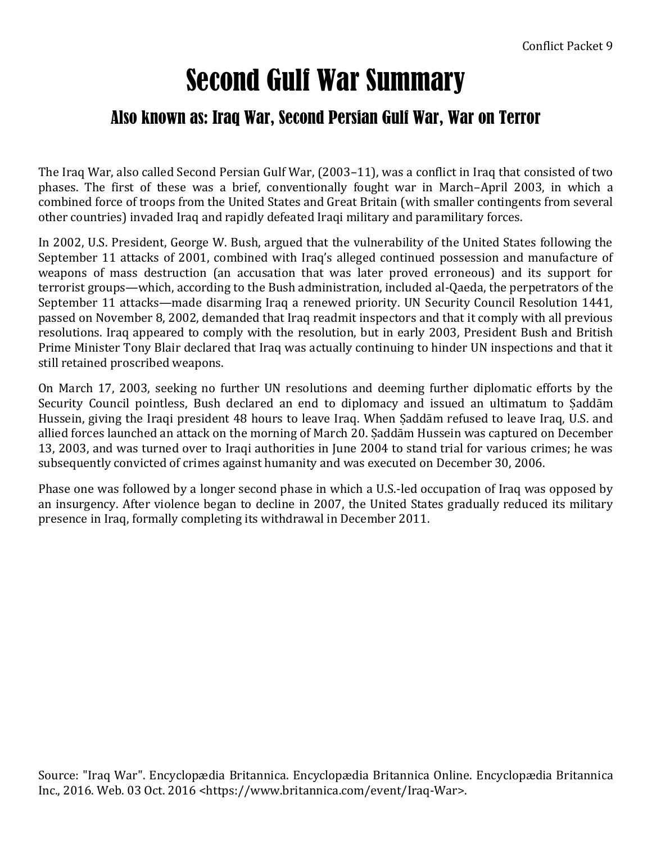## Second Gulf War Summary

### Also known as: Iraq War, Second Persian Gulf War, War on Terror

The Iraq War, also called Second Persian Gulf War, (2003–11), was a conflict in Iraq that consisted of two phases. The first of these was a brief, conventionally fought war in March–April 2003, in which a combined force of troops from the United States and Great Britain (with smaller contingents from several other countries) invaded Iraq and rapidly defeated Iraqi military and paramilitary forces.

In 2002, U.S. President, George W. Bush, argued that the vulnerability of the United States following the September 11 attacks of 2001, combined with Iraq's alleged continued possession and manufacture of weapons of mass destruction (an accusation that was later proved erroneous) and its support for terrorist groups—which, according to the Bush administration, included al-Qaeda, the perpetrators of the September 11 attacks—made disarming Iraq a renewed priority. UN Security Council Resolution 1441, passed on November 8, 2002, demanded that Iraq readmit inspectors and that it comply with all previous resolutions. Iraq appeared to comply with the resolution, but in early 2003, President Bush and British Prime Minister Tony Blair declared that Iraq was actually continuing to hinder UN inspections and that it still retained proscribed weapons.

On March 17, 2003, seeking no further UN resolutions and deeming further diplomatic efforts by the Security Council pointless, Bush declared an end to diplomacy and issued an ultimatum to Ṣaddām Hussein, giving the Iraqi president 48 hours to leave Iraq. When Ṣaddām refused to leave Iraq, U.S. and allied forces launched an attack on the morning of March 20. Ṣaddām Hussein was captured on December 13, 2003, and was turned over to Iraqi authorities in June 2004 to stand trial for various crimes; he was subsequently convicted of crimes against humanity and was executed on December 30, 2006.

Phase one was followed by a longer second phase in which a U.S.-led occupation of Iraq was opposed by an insurgency. After violence began to decline in 2007, the United States gradually reduced its military presence in Iraq, formally completing its withdrawal in December 2011.

Source: "Iraq War". Encyclopædia Britannica. Encyclopædia Britannica Online. Encyclopædia Britannica Inc., 2016. Web. 03 Oct. 2016 <https://www.britannica.com/event/Iraq-War>.